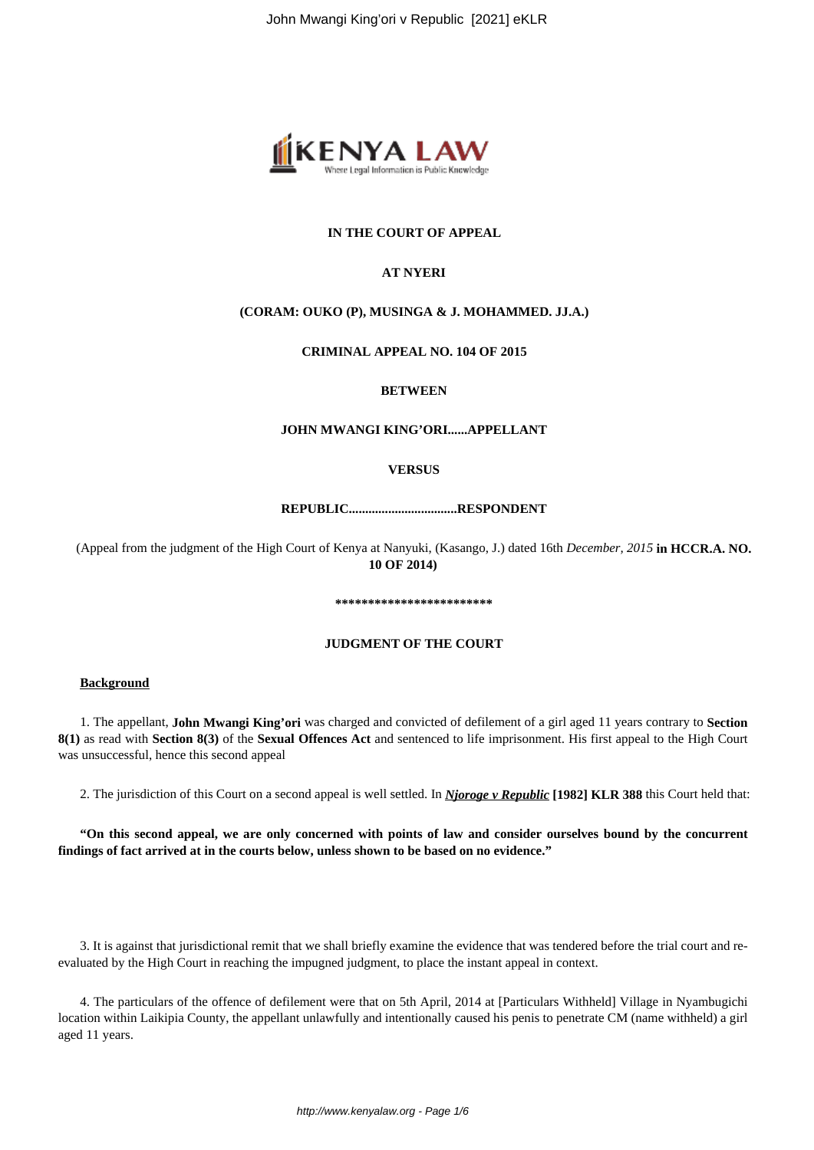

# **IN THE COURT OF APPEAL**

### **AT NYERI**

# **(CORAM: OUKO (P), MUSINGA & J. MOHAMMED. JJ.A.)**

#### **CRIMINAL APPEAL NO. 104 OF 2015**

#### **BETWEEN**

### **JOHN MWANGI KING'ORI......APPELLANT**

### **VERSUS**

# **REPUBLIC.................................RESPONDENT**

(Appeal from the judgment of the High Court of Kenya at Nanyuki, (Kasango, J.) dated 16th *December, 2015* **in HCCR.A. NO. 10 OF 2014)**

#### **\*\*\*\*\*\*\*\*\*\*\*\*\*\*\*\*\*\*\*\*\*\*\*\***

#### **JUDGMENT OF THE COURT**

# **Background**

1. The appellant, **John Mwangi King'ori** was charged and convicted of defilement of a girl aged 11 years contrary to **Section 8(1)** as read with **Section 8(3)** of the **Sexual Offences Act** and sentenced to life imprisonment. His first appeal to the High Court was unsuccessful, hence this second appeal

2. The jurisdiction of this Court on a second appeal is well settled. In *Njoroge v Republic* **[1982] KLR 388** this Court held that:

**"On this second appeal, we are only concerned with points of law and consider ourselves bound by the concurrent findings of fact arrived at in the courts below, unless shown to be based on no evidence."**

3. It is against that jurisdictional remit that we shall briefly examine the evidence that was tendered before the trial court and reevaluated by the High Court in reaching the impugned judgment, to place the instant appeal in context.

4. The particulars of the offence of defilement were that on 5th April, 2014 at [Particulars Withheld] Village in Nyambugichi location within Laikipia County, the appellant unlawfully and intentionally caused his penis to penetrate CM (name withheld) a girl aged 11 years.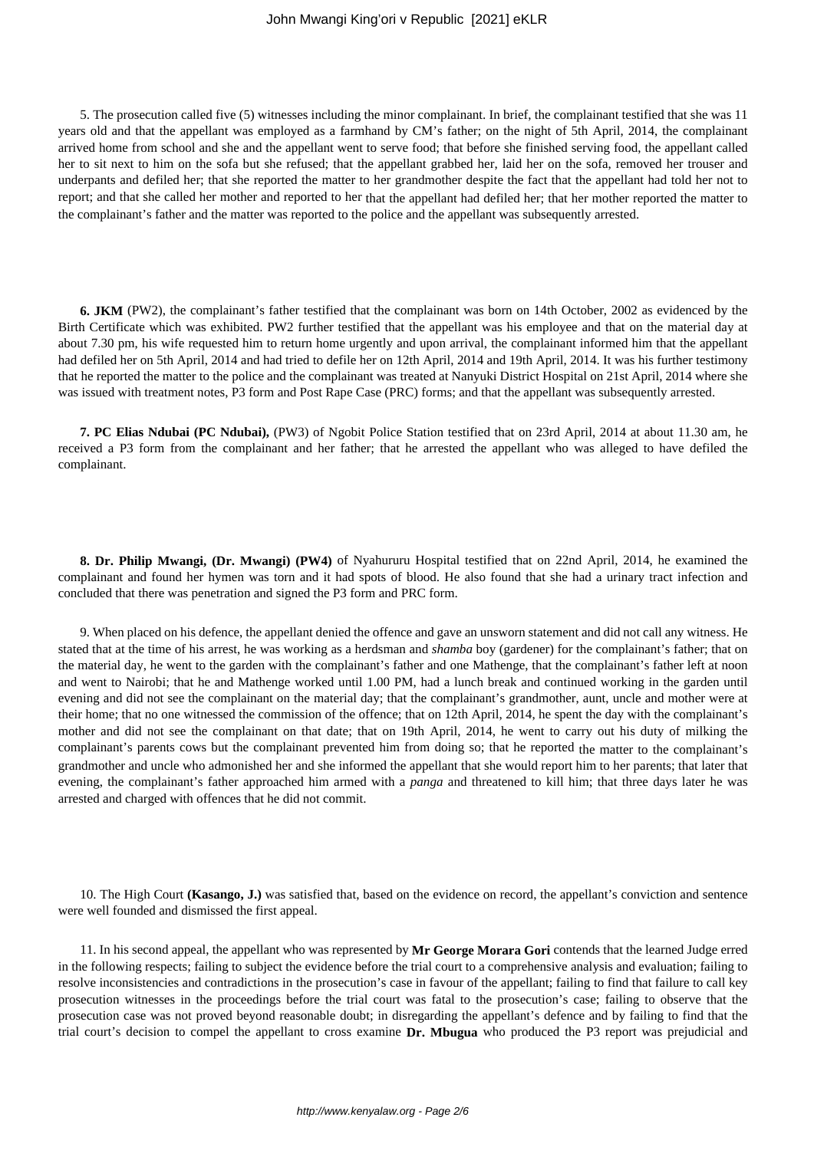5. The prosecution called five (5) witnesses including the minor complainant. In brief, the complainant testified that she was 11 years old and that the appellant was employed as a farmhand by CM's father; on the night of 5th April, 2014, the complainant arrived home from school and she and the appellant went to serve food; that before she finished serving food, the appellant called her to sit next to him on the sofa but she refused; that the appellant grabbed her, laid her on the sofa, removed her trouser and underpants and defiled her; that she reported the matter to her grandmother despite the fact that the appellant had told her not to report; and that she called her mother and reported to her that the appellant had defiled her; that her mother reported the matter to the complainant's father and the matter was reported to the police and the appellant was subsequently arrested.

**6. JKM** (PW2), the complainant's father testified that the complainant was born on 14th October, 2002 as evidenced by the Birth Certificate which was exhibited. PW2 further testified that the appellant was his employee and that on the material day at about 7.30 pm, his wife requested him to return home urgently and upon arrival, the complainant informed him that the appellant had defiled her on 5th April, 2014 and had tried to defile her on 12th April, 2014 and 19th April, 2014. It was his further testimony that he reported the matter to the police and the complainant was treated at Nanyuki District Hospital on 21st April, 2014 where she was issued with treatment notes, P3 form and Post Rape Case (PRC) forms; and that the appellant was subsequently arrested.

**7. PC Elias Ndubai (PC Ndubai),** (PW3) of Ngobit Police Station testified that on 23rd April, 2014 at about 11.30 am, he received a P3 form from the complainant and her father; that he arrested the appellant who was alleged to have defiled the complainant.

**8. Dr. Philip Mwangi, (Dr. Mwangi) (PW4)** of Nyahururu Hospital testified that on 22nd April, 2014, he examined the complainant and found her hymen was torn and it had spots of blood. He also found that she had a urinary tract infection and concluded that there was penetration and signed the P3 form and PRC form.

9. When placed on his defence, the appellant denied the offence and gave an unsworn statement and did not call any witness. He stated that at the time of his arrest, he was working as a herdsman and *shamba* boy (gardener) for the complainant's father; that on the material day, he went to the garden with the complainant's father and one Mathenge, that the complainant's father left at noon and went to Nairobi; that he and Mathenge worked until 1.00 PM, had a lunch break and continued working in the garden until evening and did not see the complainant on the material day; that the complainant's grandmother, aunt, uncle and mother were at their home; that no one witnessed the commission of the offence; that on 12th April, 2014, he spent the day with the complainant's mother and did not see the complainant on that date; that on 19th April, 2014, he went to carry out his duty of milking the complainant's parents cows but the complainant prevented him from doing so; that he reported the matter to the complainant's grandmother and uncle who admonished her and she informed the appellant that she would report him to her parents; that later that evening, the complainant's father approached him armed with a *panga* and threatened to kill him; that three days later he was arrested and charged with offences that he did not commit.

10. The High Court **(Kasango, J.)** was satisfied that, based on the evidence on record, the appellant's conviction and sentence were well founded and dismissed the first appeal.

11. In his second appeal, the appellant who was represented by **Mr George Morara Gori** contends that the learned Judge erred in the following respects; failing to subject the evidence before the trial court to a comprehensive analysis and evaluation; failing to resolve inconsistencies and contradictions in the prosecution's case in favour of the appellant; failing to find that failure to call key prosecution witnesses in the proceedings before the trial court was fatal to the prosecution's case; failing to observe that the prosecution case was not proved beyond reasonable doubt; in disregarding the appellant's defence and by failing to find that the trial court's decision to compel the appellant to cross examine **Dr. Mbugua** who produced the P3 report was prejudicial and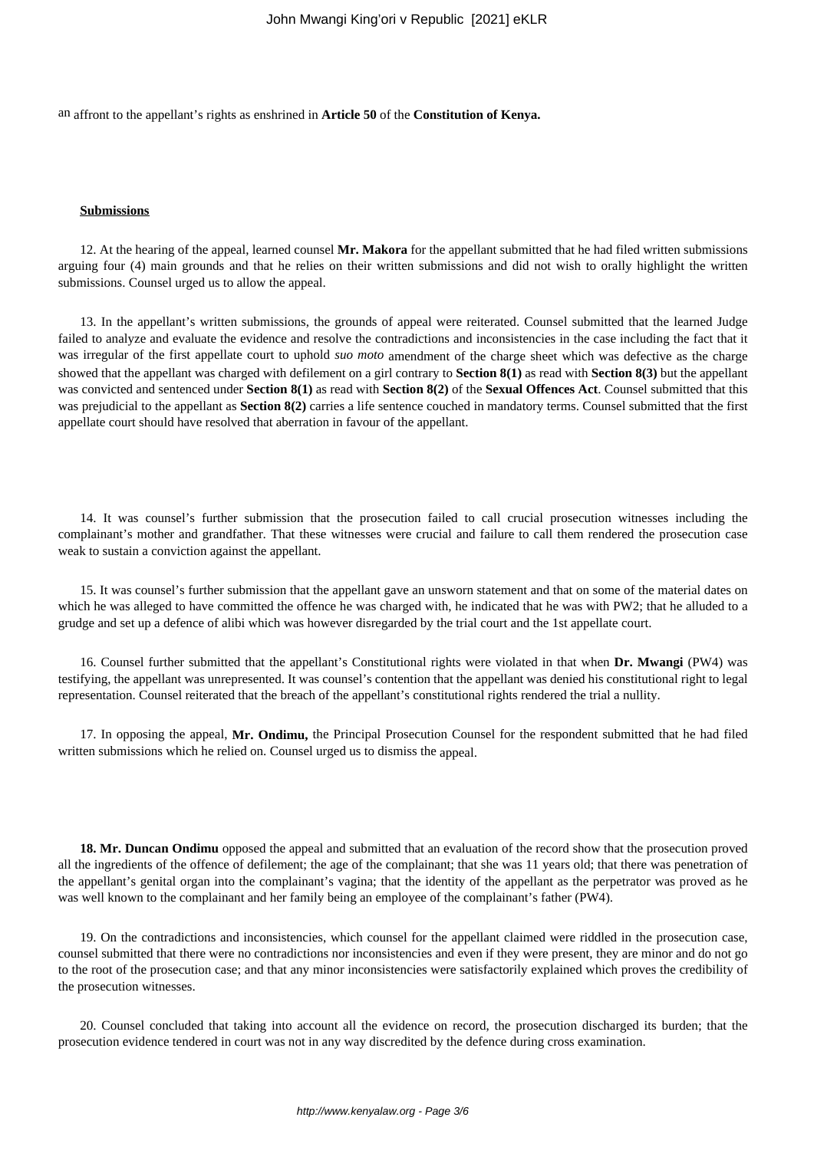an affront to the appellant's rights as enshrined in **Article 50** of the **Constitution of Kenya.**

#### **Submissions**

12. At the hearing of the appeal, learned counsel **Mr. Makora** for the appellant submitted that he had filed written submissions arguing four (4) main grounds and that he relies on their written submissions and did not wish to orally highlight the written submissions. Counsel urged us to allow the appeal.

13. In the appellant's written submissions, the grounds of appeal were reiterated. Counsel submitted that the learned Judge failed to analyze and evaluate the evidence and resolve the contradictions and inconsistencies in the case including the fact that it was irregular of the first appellate court to uphold *suo moto* amendment of the charge sheet which was defective as the charge showed that the appellant was charged with defilement on a girl contrary to **Section 8(1)** as read with **Section 8(3)** but the appellant was convicted and sentenced under **Section 8(1)** as read with **Section 8(2)** of the **Sexual Offences Act**. Counsel submitted that this was prejudicial to the appellant as **Section 8(2)** carries a life sentence couched in mandatory terms. Counsel submitted that the first appellate court should have resolved that aberration in favour of the appellant.

14. It was counsel's further submission that the prosecution failed to call crucial prosecution witnesses including the complainant's mother and grandfather. That these witnesses were crucial and failure to call them rendered the prosecution case weak to sustain a conviction against the appellant.

15. It was counsel's further submission that the appellant gave an unsworn statement and that on some of the material dates on which he was alleged to have committed the offence he was charged with, he indicated that he was with PW2; that he alluded to a grudge and set up a defence of alibi which was however disregarded by the trial court and the 1st appellate court.

16. Counsel further submitted that the appellant's Constitutional rights were violated in that when **Dr. Mwangi** (PW4) was testifying, the appellant was unrepresented. It was counsel's contention that the appellant was denied his constitutional right to legal representation. Counsel reiterated that the breach of the appellant's constitutional rights rendered the trial a nullity.

17. In opposing the appeal, **Mr. Ondimu,** the Principal Prosecution Counsel for the respondent submitted that he had filed written submissions which he relied on. Counsel urged us to dismiss the appeal.

**18. Mr. Duncan Ondimu** opposed the appeal and submitted that an evaluation of the record show that the prosecution proved all the ingredients of the offence of defilement; the age of the complainant; that she was 11 years old; that there was penetration of the appellant's genital organ into the complainant's vagina; that the identity of the appellant as the perpetrator was proved as he was well known to the complainant and her family being an employee of the complainant's father (PW4).

19. On the contradictions and inconsistencies, which counsel for the appellant claimed were riddled in the prosecution case, counsel submitted that there were no contradictions nor inconsistencies and even if they were present, they are minor and do not go to the root of the prosecution case; and that any minor inconsistencies were satisfactorily explained which proves the credibility of the prosecution witnesses.

20. Counsel concluded that taking into account all the evidence on record, the prosecution discharged its burden; that the prosecution evidence tendered in court was not in any way discredited by the defence during cross examination.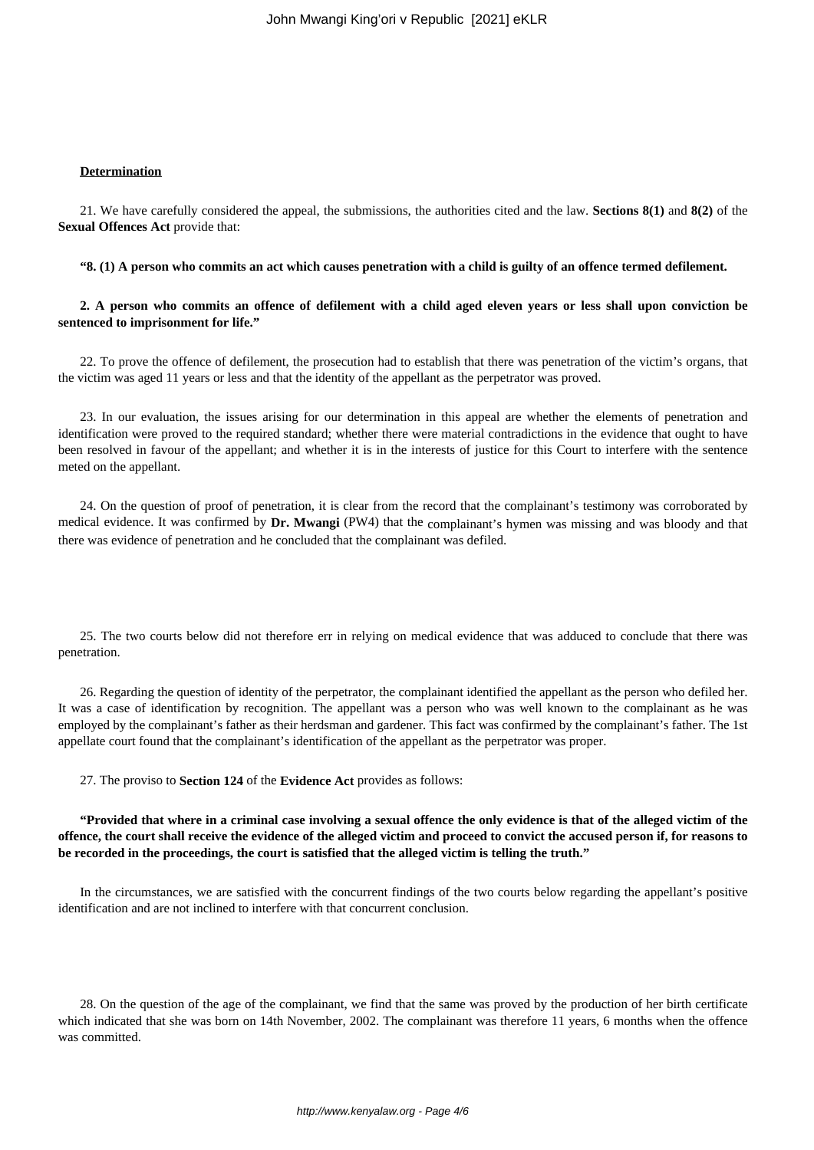#### **Determination**

21. We have carefully considered the appeal, the submissions, the authorities cited and the law. **Sections 8(1)** and **8(2)** of the **Sexual Offences Act** provide that:

**"8. (1) A person who commits an act which causes penetration with a child is guilty of an offence termed defilement.**

**2. A person who commits an offence of defilement with a child aged eleven years or less shall upon conviction be sentenced to imprisonment for life."**

22. To prove the offence of defilement, the prosecution had to establish that there was penetration of the victim's organs, that the victim was aged 11 years or less and that the identity of the appellant as the perpetrator was proved.

23. In our evaluation, the issues arising for our determination in this appeal are whether the elements of penetration and identification were proved to the required standard; whether there were material contradictions in the evidence that ought to have been resolved in favour of the appellant; and whether it is in the interests of justice for this Court to interfere with the sentence meted on the appellant.

24. On the question of proof of penetration, it is clear from the record that the complainant's testimony was corroborated by medical evidence. It was confirmed by **Dr. Mwangi** (PW4) that the complainant's hymen was missing and was bloody and that there was evidence of penetration and he concluded that the complainant was defiled.

25. The two courts below did not therefore err in relying on medical evidence that was adduced to conclude that there was penetration.

26. Regarding the question of identity of the perpetrator, the complainant identified the appellant as the person who defiled her. It was a case of identification by recognition. The appellant was a person who was well known to the complainant as he was employed by the complainant's father as their herdsman and gardener. This fact was confirmed by the complainant's father. The 1st appellate court found that the complainant's identification of the appellant as the perpetrator was proper.

27. The proviso to **Section 124** of the **Evidence Act** provides as follows:

**"Provided that where in a criminal case involving a sexual offence the only evidence is that of the alleged victim of the offence, the court shall receive the evidence of the alleged victim and proceed to convict the accused person if, for reasons to be recorded in the proceedings, the court is satisfied that the alleged victim is telling the truth."**

In the circumstances, we are satisfied with the concurrent findings of the two courts below regarding the appellant's positive identification and are not inclined to interfere with that concurrent conclusion.

28. On the question of the age of the complainant, we find that the same was proved by the production of her birth certificate which indicated that she was born on 14th November, 2002. The complainant was therefore 11 years, 6 months when the offence was committed.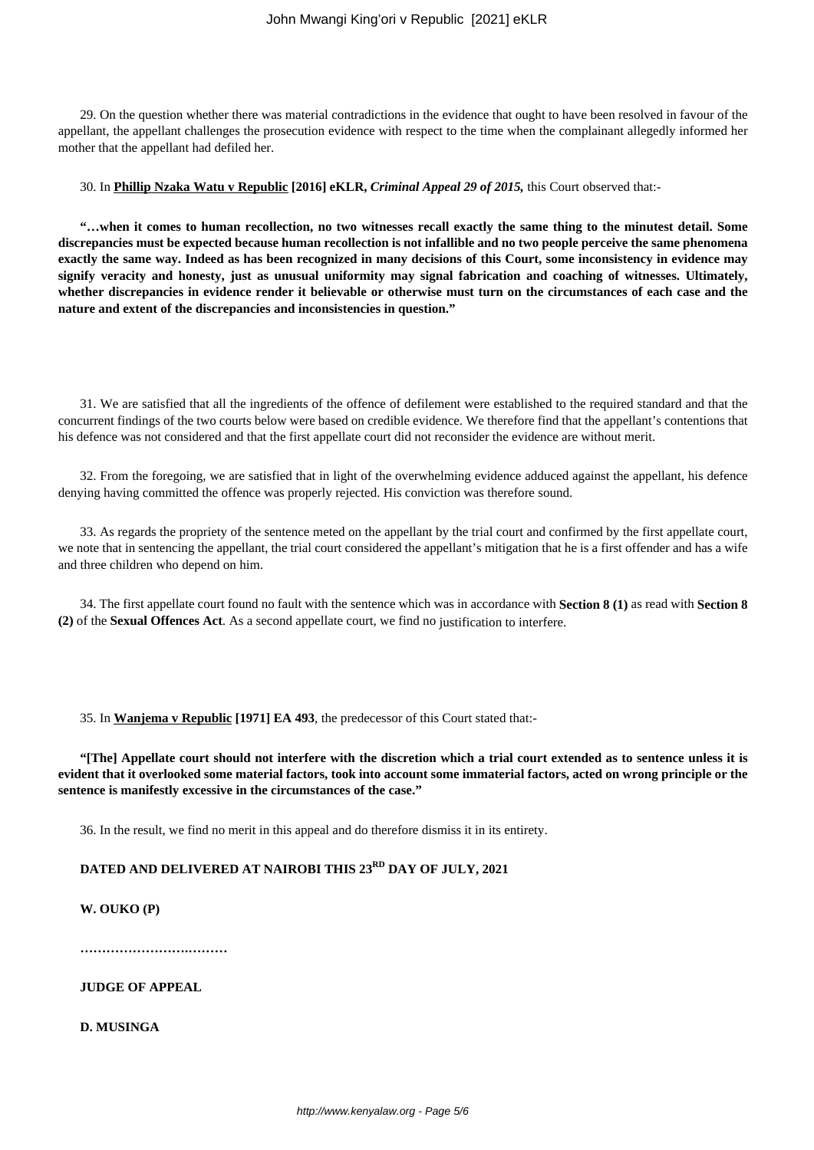29. On the question whether there was material contradictions in the evidence that ought to have been resolved in favour of the appellant, the appellant challenges the prosecution evidence with respect to the time when the complainant allegedly informed her mother that the appellant had defiled her.

#### 30. In **Phillip Nzaka Watu v Republic [2016] eKLR,** *Criminal Appeal 29 of 2015,* this Court observed that:-

**"…when it comes to human recollection, no two witnesses recall exactly the same thing to the minutest detail. Some discrepancies must be expected because human recollection is not infallible and no two people perceive the same phenomena exactly the same way. Indeed as has been recognized in many decisions of this Court, some inconsistency in evidence may signify veracity and honesty, just as unusual uniformity may signal fabrication and coaching of witnesses. Ultimately, whether discrepancies in evidence render it believable or otherwise must turn on the circumstances of each case and the nature and extent of the discrepancies and inconsistencies in question."**

31. We are satisfied that all the ingredients of the offence of defilement were established to the required standard and that the concurrent findings of the two courts below were based on credible evidence. We therefore find that the appellant's contentions that his defence was not considered and that the first appellate court did not reconsider the evidence are without merit.

32. From the foregoing, we are satisfied that in light of the overwhelming evidence adduced against the appellant, his defence denying having committed the offence was properly rejected. His conviction was therefore sound.

33. As regards the propriety of the sentence meted on the appellant by the trial court and confirmed by the first appellate court, we note that in sentencing the appellant, the trial court considered the appellant's mitigation that he is a first offender and has a wife and three children who depend on him.

34. The first appellate court found no fault with the sentence which was in accordance with **Section 8 (1)** as read with **Section 8 (2)** of the **Sexual Offences Act**. As a second appellate court, we find no justification to interfere.

35. In **Wanjema v Republic [1971] EA 493**, the predecessor of this Court stated that:-

**"[The] Appellate court should not interfere with the discretion which a trial court extended as to sentence unless it is evident that it overlooked some material factors, took into account some immaterial factors, acted on wrong principle or the sentence is manifestly excessive in the circumstances of the case."**

36. In the result, we find no merit in this appeal and do therefore dismiss it in its entirety.

# **DATED AND DELIVERED AT NAIROBI THIS 23RD DAY OF JULY, 2021**

# **W. OUKO (P)**

**…………………….………**

**JUDGE OF APPEAL**

**D. MUSINGA**